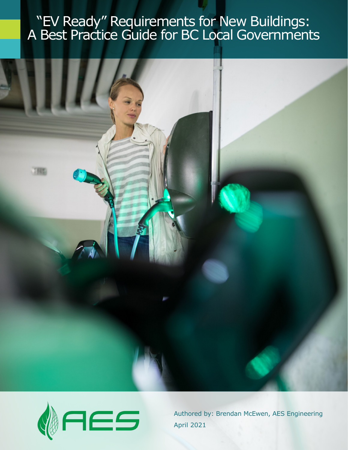# "EV Ready" Requirements for New Buildings: A Best Practice Guide for BC Local Governments





Authored by: Brendan McEwen, AES Engineering April 2021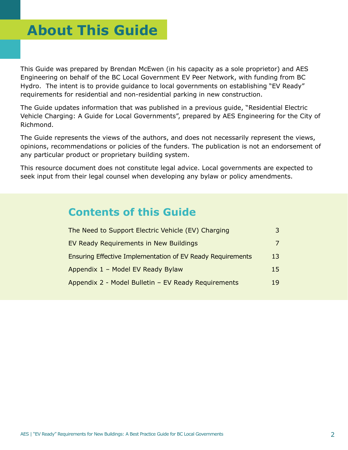# **About This Guide**

This Guide was prepared by Brendan McEwen (in his capacity as a sole proprietor) and AES Engineering on behalf of the BC Local Government EV Peer Network, with funding from BC Hydro. The intent is to provide guidance to local governments on establishing "EV Ready" requirements for residential and non-residential parking in new construction.

The Guide updates information that was published in a previous guide, "Residential Electric Vehicle Charging: A Guide for Local Governments", prepared by AES Engineering for the City of Richmond.

The Guide represents the views of the authors, and does not necessarily represent the views, opinions, recommendations or policies of the funders. The publication is not an endorsement of any particular product or proprietary building system.

This resource document does not constitute legal advice. Local governments are expected to seek input from their legal counsel when developing any bylaw or policy amendments.

### **Contents of this Guide**

| The Need to Support Electric Vehicle (EV) Charging                |    |
|-------------------------------------------------------------------|----|
| EV Ready Requirements in New Buildings                            |    |
| <b>Ensuring Effective Implementation of EV Ready Requirements</b> | 13 |
| Appendix 1 - Model EV Ready Bylaw                                 | 15 |
| Appendix 2 - Model Bulletin - EV Ready Requirements               | 19 |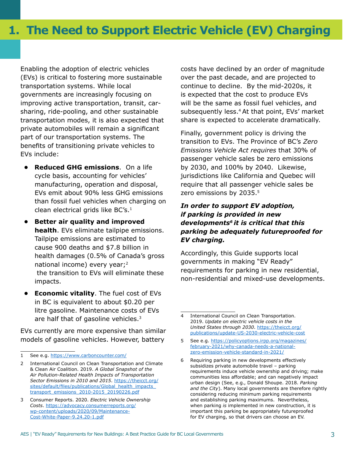<span id="page-2-0"></span>Enabling the adoption of electric vehicles (EVs) is critical to fostering more sustainable transportation systems. While local governments are increasingly focusing on improving active transportation, transit, carsharing, ride-pooling, and other sustainable transportation modes, it is also expected that private automobiles will remain a significant part of our transportation systems. The benefits of transitioning private vehicles to EVs include:

- **• Reduced GHG emissions**. On a life cycle basis, accounting for vehicles' manufacturing, operation and disposal, EVs emit about 90% less GHG emissions than fossil fuel vehicles when charging on clean electrical grids like BC's.<sup>1</sup>
- **• Better air quality and improved health**. EVs eliminate tailpipe emissions. Tailpipe emissions are estimated to cause 900 deaths and \$7.8 billion in health damages (0.5% of Canada's gross national income) every year;<sup>2</sup> the transition to EVs will eliminate these impacts.
- **• Economic vitality**. The fuel cost of EVs in BC is equivalent to about \$0.20 per litre gasoline. Maintenance costs of EVs are half that of gasoline vehicles.<sup>3</sup>

EVs currently are more expensive than similar models of gasoline vehicles. However, battery

costs have declined by an order of magnitude over the past decade, and are projected to continue to decline. By the mid-2020s, it is expected that the cost to produce EVs will be the same as fossil fuel vehicles, and subsequently less.<sup>4</sup> At that point, EVs' market share is expected to accelerate dramatically.

Finally, government policy is driving the transition to EVs. The Province of BC's *Zero Emissions Vehicle Act requires* that 30% of passenger vehicle sales be zero emissions by 2030, and 100% by 2040. Likewise, jurisdictions like California and Quebec will require that all passenger vehicle sales be zero emissions by 2035.<sup>5</sup>

### *In order to support EV adoption, if parking is provided in new developments6 it is critical that this parking be adequately futureproofed for EV charging.*

Accordingly, this Guide supports local governments in making "EV Ready" requirements for parking in new residential, non-residential and mixed-use developments.

<sup>1</sup> See e.g.<https://www.carboncounter.com/>

<sup>2</sup> International Council on Clean Transportation and Climate & Clean Air Coalition. 2019. *A Global Snapshot of the Air Pollution-Related Health Impacts of Transportation Sector Emissions in 2010 and 2015*. [https://theicct.org/](https://theicct.org/sites/default/files/publications/Global_health_impacts_transport_emissions_2010-2015_20190226.pdf) [sites/default/files/publications/Global\\_health\\_impacts\\_](https://theicct.org/sites/default/files/publications/Global_health_impacts_transport_emissions_2010-2015_20190226.pdf) [transport\\_emissions\\_2010-2015\\_20190226.pdf](https://theicct.org/sites/default/files/publications/Global_health_impacts_transport_emissions_2010-2015_20190226.pdf)

<sup>3</sup> Consumer Reports. 2020. *Electric Vehicle Ownership Costs*. [https://advocacy.consumerreports.org/](https://advocacy.consumerreports.org/wp-content/uploads/2020/09/Maintenance-Cost-White-Paper-9.24.20-1.pdf) [wp-content/uploads/2020/09/Maintenance-](https://advocacy.consumerreports.org/wp-content/uploads/2020/09/Maintenance-Cost-White-Paper-9.24.20-1.pdf)[Cost-White-Paper-9.24.20-1.pdf](https://advocacy.consumerreports.org/wp-content/uploads/2020/09/Maintenance-Cost-White-Paper-9.24.20-1.pdf)

International Council on Clean Transportation. 2019. *Update on electric vehicle costs in the United States through 2030*. [https://theicct.org/](https://theicct.org/publications/update-US-2030-electric-vehicle-cost) [publications/update-US-2030-electric-vehicle-cost](https://theicct.org/publications/update-US-2030-electric-vehicle-cost)

<sup>5</sup> See e.g. [https://policyoptions.irpp.org/magazines/](https://policyoptions.irpp.org/magazines/february-2021/why-canada-needs-a-national-zero-emission-vehicle-standard-in-2021/) [february-2021/why-canada-needs-a-national](https://policyoptions.irpp.org/magazines/february-2021/why-canada-needs-a-national-zero-emission-vehicle-standard-in-2021/)[zero-emission-vehicle-standard-in-2021/](https://policyoptions.irpp.org/magazines/february-2021/why-canada-needs-a-national-zero-emission-vehicle-standard-in-2021/)

<sup>6</sup> Requiring parking in new developments effectively subsidizes private automobile travel – parking requirements induce vehicle ownership and driving; make communities less affordable; and can negatively impact urban design (See, e.g., Donald Shoupe. 2018. *Parking and the City*). Many local governments are therefore rightly considering reducing minimum parking requirements and establishing parking maximums. Nevertheless, when parking *is* implemented in new construction, it is important this parking be appropriately futureproofed for EV charging, so that drivers can choose an EV.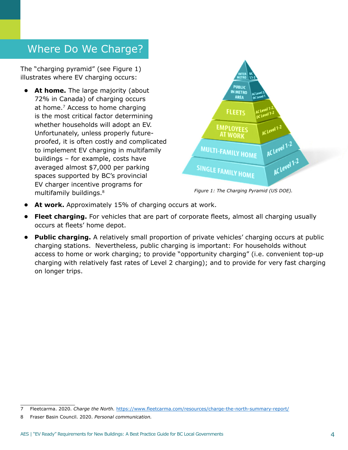# Where Do We Charge?

The "charging pyramid" (see Figure 1) illustrates where EV charging occurs:

**• At home.** The large majority (about 72% in Canada) of charging occurs at home.<sup>7</sup> Access to home charging is the most critical factor determining whether households will adopt an EV. Unfortunately, unless properly futureproofed, it is often costly and complicated to implement EV charging in multifamily buildings – for example, costs have averaged almost \$7,000 per parking spaces supported by BC's provincial EV charger incentive programs for multifamily buildings.8



*Figure 1: The Charging Pyramid (US DOE).*

- **At work.** Approximately 15% of charging occurs at work.
- **• Fleet charging.** For vehicles that are part of corporate fleets, almost all charging usually occurs at fleets' home depot.
- **• Public charging.** A relatively small proportion of private vehicles' charging occurs at public charging stations. Nevertheless, public charging is important: For households without access to home or work charging; to provide "opportunity charging" (i.e. convenient top-up charging with relatively fast rates of Level 2 charging); and to provide for very fast charging on longer trips.

<sup>7</sup> Fleetcarma. 2020. *Charge the North.* <https://www.fleetcarma.com/resources/charge-the-north-summary-report/>

<sup>8</sup> Fraser Basin Council. 2020. *Personal communication.*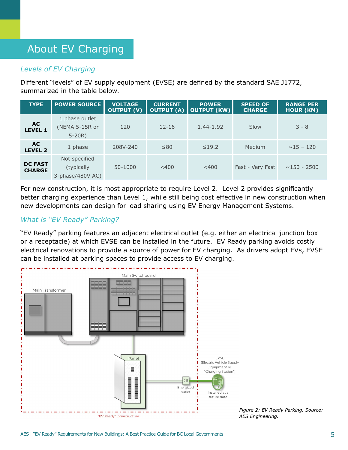# About EV Charging

### *Levels of EV Charging*

Different "levels" of EV supply equipment (EVSE) are defined by the standard SAE J1772, summarized in the table below.

| <b>TYPE</b>                     | <b>POWER SOURCE</b>                                | <b>VOLTAGE</b><br>OUTPUT (V) | <b>CURRENT</b><br><b>OUTPUT (A)</b> | <b>POWER</b><br><b>OUTPUT (KW)</b> | <b>SPEED OF</b><br><b>CHARGE</b> | <b>RANGE PER</b><br><b>HOUR (KM)</b> |
|---------------------------------|----------------------------------------------------|------------------------------|-------------------------------------|------------------------------------|----------------------------------|--------------------------------------|
| <b>AC</b><br><b>LEVEL 1</b>     | 1 phase outlet<br>(NEMA 5-15R or<br>$5 - 20R$ )    | 120                          | $12 - 16$                           | 1.44-1.92                          | Slow                             | $3 - 8$                              |
| AC.<br><b>LEVEL 2</b>           | 1 phase                                            | 208V-240                     | ≤80                                 | $\leq$ 19.2                        | Medium                           | $~15 - 120$                          |
| <b>DC FAST</b><br><b>CHARGE</b> | Not specified<br>(typically<br>$3$ -phase/480V AC) | 50-1000                      | $<$ 400                             | $<$ 400                            | Fast - Very Fast                 | $~150 - 2500$                        |

For new construction, it is most appropriate to require Level 2. Level 2 provides significantly better charging experience than Level 1, while still being cost effective in new construction when new developments can design for load sharing using EV Energy Management Systems.

### *What is "EV Ready" Parking?*

"EV Ready" parking features an adjacent electrical outlet (e.g. either an electrical junction box or a receptacle) at which EVSE can be installed in the future. EV Ready parking avoids costly electrical renovations to provide a source of power for EV charging. As drivers adopt EVs, EVSE can be installed at parking spaces to provide access to EV charging.



*Figure 2: EV Ready Parking. Source: AES Engineering.*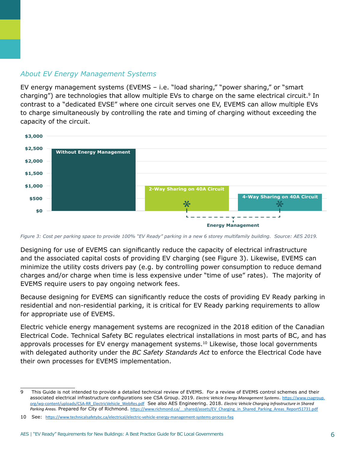#### *About EV Energy Management Systems*

EV energy management systems (EVEMS – i.e. "load sharing," "power sharing," or "smart charging") are technologies that allow multiple EVs to charge on the same electrical circuit.<sup>9</sup> In contrast to a "dedicated EVSE" where one circuit serves one EV, EVEMS can allow multiple EVs to charge simultaneously by controlling the rate and timing of charging without exceeding the capacity of the circuit.



*Figure 3: Cost per parking space to provide 100% "EV Ready" parking in a new 6 storey multifamily building. Source: AES 2019.*

Designing for use of EVEMS can significantly reduce the capacity of electrical infrastructure and the associated capital costs of providing EV charging (see Figure 3). Likewise, EVEMS can minimize the utility costs drivers pay (e.g. by controlling power consumption to reduce demand charges and/or charge when time is less expensive under "time of use" rates). The majority of EVEMS require users to pay ongoing network fees.

Because designing for EVEMS can significantly reduce the costs of providing EV Ready parking in residential and non-residential parking, it is critical for EV Ready parking requirements to allow for appropriate use of EVEMS.

Electric vehicle energy management systems are recognized in the 2018 edition of the Canadian Electrical Code. Technical Safety BC regulates electrical installations in most parts of BC, and has approvals processes for EV energy management systems.<sup>10</sup> Likewise, those local governments with delegated authority under the *BC Safety Standards Act* to enforce the Electrical Code have their own processes for EVEMS implementation.

<sup>9</sup> This Guide is not intended to provide a detailed technical review of EVEMS. For a review of EVEMS control schemes and their associated electrical infrastructure configurations see CSA Group. 2019. *Electric Vehicle Energy Management Systems*. [https://www.csagroup.](https://www.csagroup.org/wp-content/uploads/CSA-RR_ElectricVehicle_WebRes.pdf) [org/wp-content/uploads/CSA-RR\\_ElectricVehicle\\_WebRes.pdf](https://www.csagroup.org/wp-content/uploads/CSA-RR_ElectricVehicle_WebRes.pdf) See also AES Engineering. 2018. *Electric Vehicle Charging Infrastructure in Shared*  Parking Areas. Prepared for City of Richmond. https://www.richmond.ca/ shared/assets/EV Charging in Shared Parking Areas Report51731.pdf

<sup>10</sup> See: <https://www.technicalsafetybc.ca/electrical/electric-vehicle-energy-management-systems-process-faq>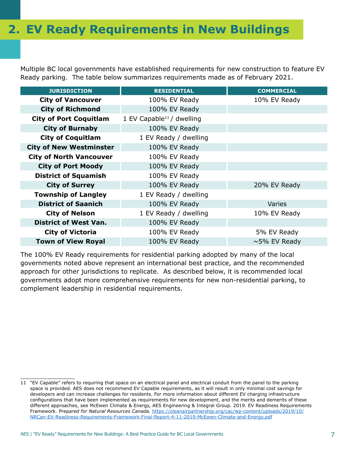# <span id="page-6-0"></span>**2. EV Ready Requirements in New Buildings**

Multiple BC local governments have established requirements for new construction to feature EV Ready parking. The table below summarizes requirements made as of February 2021.

| <b>JURISDICTION</b>            | <b>RESIDENTIAL</b>                    | <b>COMMERCIAL</b> |
|--------------------------------|---------------------------------------|-------------------|
| <b>City of Vancouver</b>       | 100% EV Ready                         | 10% EV Ready      |
| <b>City of Richmond</b>        | 100% EV Ready                         |                   |
| <b>City of Port Coquitlam</b>  | 1 EV Capable <sup>11</sup> / dwelling |                   |
| <b>City of Burnaby</b>         | 100% EV Ready                         |                   |
| <b>City of Coquitlam</b>       | 1 EV Ready / dwelling                 |                   |
| <b>City of New Westminster</b> | 100% EV Ready                         |                   |
| <b>City of North Vancouver</b> | 100% EV Ready                         |                   |
| <b>City of Port Moody</b>      | 100% EV Ready                         |                   |
| <b>District of Squamish</b>    | 100% EV Ready                         |                   |
| <b>City of Surrey</b>          | 100% EV Ready                         | 20% EV Ready      |
| <b>Township of Langley</b>     | 1 EV Ready / dwelling                 |                   |
| <b>District of Saanich</b>     | 100% EV Ready                         | <b>Varies</b>     |
| <b>City of Nelson</b>          | 1 EV Ready / dwelling                 | 10% EV Ready      |
| <b>District of West Van.</b>   | 100% EV Ready                         |                   |
| <b>City of Victoria</b>        | 100% EV Ready                         | 5% EV Ready       |
| <b>Town of View Royal</b>      | 100% EV Ready                         | $~5\%$ EV Ready   |

The 100% EV Ready requirements for residential parking adopted by many of the local governments noted above represent an international best practice, and the recommended approach for other jurisdictions to replicate. As described below, it is recommended local governments adopt more comprehensive requirements for new non-residential parking, to complement leadership in residential requirements.

<sup>11</sup> "EV Capable" refers to requiring that space on an electrical panel and electrical conduit from the panel to the parking space is provided. AES does not recommend EV Capable requirements, as it will result in only minimal cost savings for developers and can increase challenges for residents. For more information about different EV charging infrastructure configurations that have been implemented as requirements for new development, and the merits and demerits of these different approaches, see McEwen Climate & Energy, AES Engineering & Integral Group. 2019. EV Readiness Requirements Framework. Prep*ared for Natural Resources Canada.* [https://cleanairpartnership.org/cac/wp-content/uploads/2019/10/](https://cleanairpartnership.org/cac/wp-content/uploads/2019/10/NRCan-EV-Readiness-Requirements-Framework-Final-Report-4-11-2019-McEwen-Climate-and-Energy.pdf) [NRCan-EV-Readiness-Requirements-Framework-Final-Report-4-11-2019-McEwen-Climate-and-Energy.pdf](https://cleanairpartnership.org/cac/wp-content/uploads/2019/10/NRCan-EV-Readiness-Requirements-Framework-Final-Report-4-11-2019-McEwen-Climate-and-Energy.pdf)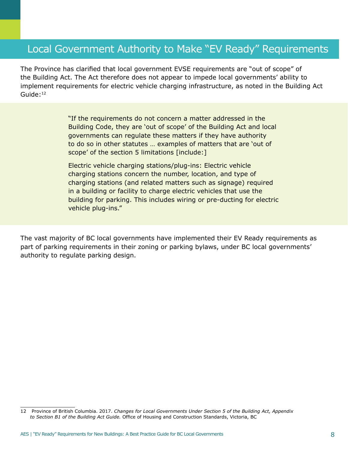### Local Government Authority to Make "EV Ready" Requirements

The Province has clarified that local government EVSE requirements are "out of scope" of the Building Act. The Act therefore does not appear to impede local governments' ability to implement requirements for electric vehicle charging infrastructure, as noted in the Building Act Guide:12

> "If the requirements do not concern a matter addressed in the Building Code, they are 'out of scope' of the Building Act and local governments can regulate these matters if they have authority to do so in other statutes … examples of matters that are 'out of scope' of the section 5 limitations [include:]

> Electric vehicle charging stations/plug-ins: Electric vehicle charging stations concern the number, location, and type of charging stations (and related matters such as signage) required in a building or facility to charge electric vehicles that use the building for parking. This includes wiring or pre-ducting for electric vehicle plug-ins."

The vast majority of BC local governments have implemented their EV Ready requirements as part of parking requirements in their zoning or parking bylaws, under BC local governments' authority to regulate parking design.

<sup>12</sup> Province of British Columbia. 2017. *Changes for Local Governments Under Section 5 of the Building Act, Appendix to Section B1 of the Building Act Guide.* Office of Housing and Construction Standards, Victoria, BC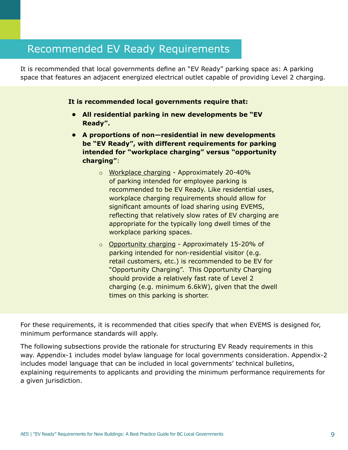### Recommended EV Ready Requirements

It is recommended that local governments define an "EV Ready" parking space as: A parking space that features an adjacent energized electrical outlet capable of providing Level 2 charging.

**It is recommended local governments require that:**

- **• All residential parking in new developments be "EV Ready".**
- **• A proportions of non—residential in new developments be "EV Ready", with different requirements for parking intended for "workplace charging" versus "opportunity charging"**:
	- o Workplace charging Approximately 20-40% of parking intended for employee parking is recommended to be EV Ready. Like residential uses, workplace charging requirements should allow for significant amounts of load sharing using EVEMS, reflecting that relatively slow rates of EV charging are appropriate for the typically long dwell times of the workplace parking spaces.
	- o Opportunity charging Approximately 15-20% of parking intended for non-residential visitor (e.g. retail customers, etc.) is recommended to be EV for "Opportunity Charging". This Opportunity Charging should provide a relatively fast rate of Level 2 charging (e.g. minimum 6.6kW), given that the dwell times on this parking is shorter.

For these requirements, it is recommended that cities specify that when EVEMS is designed for, minimum performance standards will apply.

The following subsections provide the rationale for structuring EV Ready requirements in this way. Appendix-1 includes model bylaw language for local governments consideration. Appendix-2 includes model language that can be included in local governments' technical bulletins, explaining requirements to applicants and providing the minimum performance requirements for a given jurisdiction.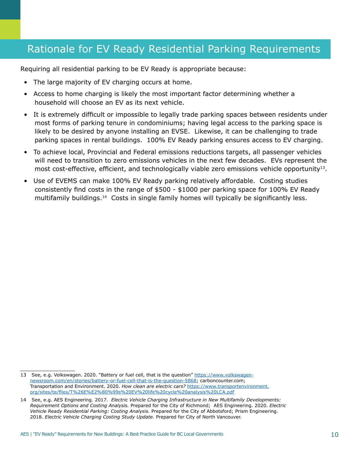# Rationale for EV Ready Residential Parking Requirements

Requiring all residential parking to be EV Ready is appropriate because:

- The large majority of EV charging occurs at home.
- Access to home charging is likely the most important factor determining whether a household will choose an EV as its next vehicle.
- It is extremely difficult or impossible to legally trade parking spaces between residents under most forms of parking tenure in condominiums; having legal access to the parking space is likely to be desired by anyone installing an EVSE. Likewise, it can be challenging to trade parking spaces in rental buildings. 100% EV Ready parking ensures access to EV charging.
- To achieve local, Provincial and Federal emissions reductions targets, all passenger vehicles will need to transition to zero emissions vehicles in the next few decades. EVs represent the most cost-effective, efficient, and technologically viable zero emissions vehicle opportunity<sup>13</sup>.
- Use of EVEMS can make 100% EV Ready parking relatively affordable. Costing studies consistently find costs in the range of \$500 - \$1000 per parking space for 100% EV Ready multifamily buildings.<sup>14</sup> Costs in single family homes will typically be significantly less.

<sup>13</sup> See, e.g. Volkswagen. 2020. "Battery or fuel cell, that is the question" [https://www.volkswagen](https://www.volkswagen-newsroom.com/en/stories/battery-or-fuel-cell-that-is-the-question-5868)[newsroom.com/en/stories/battery-or-fuel-cell-that-is-the-question-5868](https://www.volkswagen-newsroom.com/en/stories/battery-or-fuel-cell-that-is-the-question-5868); carboncounter.com; Transportation and Environment. 2020. *How clean are electric cars?* [https://www.transportenvironment.](https://www.transportenvironment.org/sites/te/files/T%26E%E2%80%99s%20EV%20life%20cycle%20analysis%20LCA.pdf) [org/sites/te/files/T%26E%E2%80%99s%20EV%20life%20cycle%20analysis%20LCA.pdf](https://www.transportenvironment.org/sites/te/files/T%26E%E2%80%99s%20EV%20life%20cycle%20analysis%20LCA.pdf)

<sup>14</sup> See, e.g. AES Engineering. 2017. *Electric Vehicle Charging Infrastructure in New Multifamily Developments: Requirement Options and Costing Analysis.* Prepared for the City of Richmond; AES Engineering. 2020. *Electric Vehicle Ready Residential Parking: Costing Analysis.* Prepared for the City of Abbotsford; Prism Engineering. 2018. *Electric Vehicle Charging Costing Study Update.* Prepared for City of North Vancouver.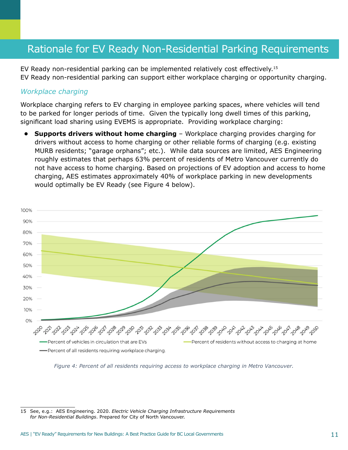# Rationale for EV Ready Non-Residential Parking Requirements

EV Ready non-residential parking can be implemented relatively cost effectively.15 EV Ready non-residential parking can support either workplace charging or opportunity charging.

#### *Workplace charging*

Workplace charging refers to EV charging in employee parking spaces, where vehicles will tend to be parked for longer periods of time. Given the typically long dwell times of this parking, significant load sharing using EVEMS is appropriate. Providing workplace charging:

**Supports drivers without home charging - Workplace charging provides charging for** drivers without access to home charging or other reliable forms of charging (e.g. existing MURB residents; "garage orphans"; etc.). While data sources are limited, AES Engineering roughly estimates that perhaps 63% percent of residents of Metro Vancouver currently do not have access to home charging. Based on projections of EV adoption and access to home charging, AES estimates approximately 40% of workplace parking in new developments would optimally be EV Ready (see Figure 4 below).



*Figure 4: Percent of all residents requiring access to workplace charging in Metro Vancouver.*

<sup>15</sup> See, e.g.: AES Engineering. 2020. *Electric Vehicle Charging Infrastructure Requirements for Non-Residential Buildings*. Prepared for City of North Vancouver.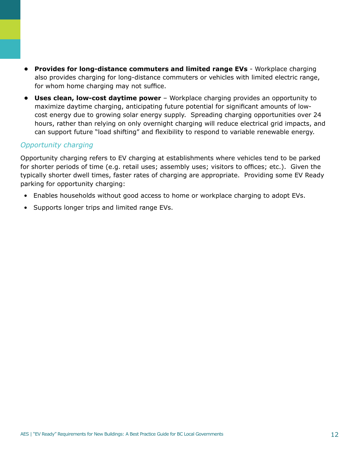- **• Provides for long-distance commuters and limited range EVs** Workplace charging also provides charging for long-distance commuters or vehicles with limited electric range, for whom home charging may not suffice.
- **• Uses clean, low-cost daytime power** Workplace charging provides an opportunity to maximize daytime charging, anticipating future potential for significant amounts of lowcost energy due to growing solar energy supply. Spreading charging opportunities over 24 hours, rather than relying on only overnight charging will reduce electrical grid impacts, and can support future "load shifting" and flexibility to respond to variable renewable energy.

### *Opportunity charging*

Opportunity charging refers to EV charging at establishments where vehicles tend to be parked for shorter periods of time (e.g. retail uses; assembly uses; visitors to offices; etc.). Given the typically shorter dwell times, faster rates of charging are appropriate. Providing some EV Ready parking for opportunity charging:

- Enables households without good access to home or workplace charging to adopt EVs.
- Supports longer trips and limited range EVs.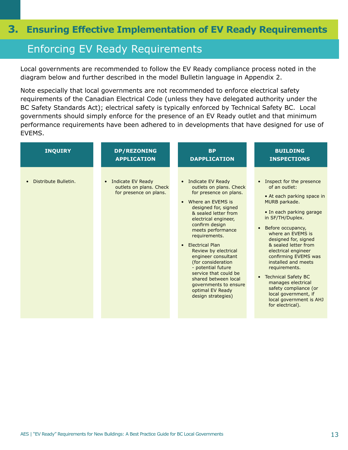### <span id="page-12-0"></span>**3. Ensuring Effective Implementation of EV Ready Requirements**

### Enforcing EV Ready Requirements

Local governments are recommended to follow the EV Ready compliance process noted in the diagram below and further described in the model Bulletin language in Appendix 2.

Note especially that local governments are not recommended to enforce electrical safety requirements of the Canadian Electrical Code (unless they have delegated authority under the BC Safety Standards Act); electrical safety is typically enforced by Technical Safety BC. Local governments should simply enforce for the presence of an EV Ready outlet and that minimum performance requirements have been adhered to in developments that have designed for use of EVEMS.

| <b>INQUIRY</b>       | <b>DP/REZONING</b>                                                       | <b>BP</b>                                                                                                                                                                                                                                                                                                                                                                                                                                                                             | <b>BUILDING</b>                                                                                                                                                                                                                                                                                                                                                                                                                                                              |
|----------------------|--------------------------------------------------------------------------|---------------------------------------------------------------------------------------------------------------------------------------------------------------------------------------------------------------------------------------------------------------------------------------------------------------------------------------------------------------------------------------------------------------------------------------------------------------------------------------|------------------------------------------------------------------------------------------------------------------------------------------------------------------------------------------------------------------------------------------------------------------------------------------------------------------------------------------------------------------------------------------------------------------------------------------------------------------------------|
|                      | <b>APPLICATION</b>                                                       | <b>DAPPLICATION</b>                                                                                                                                                                                                                                                                                                                                                                                                                                                                   | <b>INSPECTIONS</b>                                                                                                                                                                                                                                                                                                                                                                                                                                                           |
| Distribute Bulletin. | • Indicate EV Ready<br>outlets on plans. Check<br>for presence on plans. | • Indicate EV Ready<br>outlets on plans. Check<br>for presence on plans.<br>• Where an EVEMS is<br>designed for, signed<br>& sealed letter from<br>electrical engineer,<br>confirm design<br>meets performance<br>requirements.<br><b>Electrical Plan</b><br>$\bullet$<br>Review by electrical<br>engineer consultant<br>(for consideration<br>- potential future<br>service that could be<br>shared between local<br>governments to ensure<br>optimal EV Ready<br>design strategies) | • Inspect for the presence<br>of an outlet:<br>• At each parking space in<br>MURB parkade.<br>• In each parking garage<br>in SF/TH/Duplex.<br>• Before occupancy,<br>where an EVEMS is<br>designed for, signed<br>& sealed letter from<br>electrical engineer<br>confirming EVEMS was<br>installed and meets<br>requirements.<br>• Technical Safety BC<br>manages electrical<br>safety compliance (or<br>local government, if<br>local government is AHJ<br>for electrical). |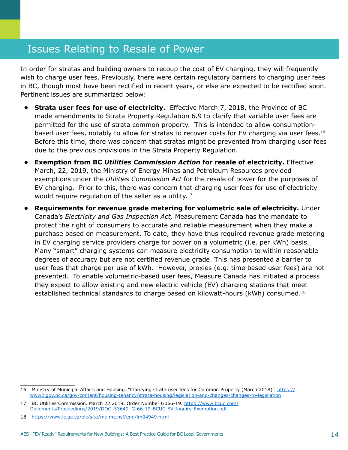# Issues Relating to Resale of Power

In order for stratas and building owners to recoup the cost of EV charging, they will frequently wish to charge user fees. Previously, there were certain regulatory barriers to charging user fees in BC, though most have been rectified in recent years, or else are expected to be rectified soon. Pertinent issues are summarized below:

- **•• Strata user fees for use of electricity.** Effective March 7, 2018, the Province of BC made amendments to Strata Property Regulation 6.9 to clarify that variable user fees are permitted for the use of strata common property. This is intended to allow consumptionbased user fees, notably to allow for stratas to recover costs for EV charging via user fees.<sup>16</sup> Before this time, there was concern that stratas might be prevented from charging user fees due to the previous provisions in the Strata Property Regulation.
- **• Exemption from BC** *Utilities Commission Action* **for resale of electricity.** Effective March, 22, 2019, the Ministry of Energy Mines and Petroleum Resources provided exemptions under the *Utilities Commission Act* for the resale of power for the purposes of EV charging. Prior to this, there was concern that charging user fees for use of electricity would require regulation of the seller as a utility.<sup>17</sup>
- **• Requirements for revenue grade metering for volumetric sale of electricity.** Under Canada's *Electricity and Gas Inspection Act,* Measurement Canada has the mandate to protect the right of consumers to accurate and reliable measurement when they make a purchase based on measurement. To date, they have thus required revenue grade metering in EV charging service providers charge for power on a volumetric (i.e. per kWh) basis. Many "smart" charging systems can measure electricity consumption to within reasonable degrees of accuracy but are not certified revenue grade. This has presented a barrier to user fees that charge per use of kWh. However, proxies (e.g. time based user fees) are not prevented. To enable volumetric-based user fees, Measure Canada has initiated a process they expect to allow existing and new electric vehicle (EV) charging stations that meet established technical standards to charge based on kilowatt-hours (kWh) consumed.18

<sup>16</sup> Ministry of Municipal Affairs and Housing. "Clarifying strata user fees for Common Property (March 2018)". [https://](https://www2.gov.bc.ca/gov/content/housing-tenancy/strata-housing/legislation-and-changes/changes-to-legislation) [www2.gov.bc.ca/gov/content/housing-tenancy/strata-housing/legislation-and-changes/changes-to-legislation](https://www2.gov.bc.ca/gov/content/housing-tenancy/strata-housing/legislation-and-changes/changes-to-legislation)

<sup>17</sup> BC Utilities Commission. March 22 2019. Order Number G066-19. [https://www.bcuc.com/](https://www.bcuc.com/Documents/Proceedings/2019/DOC_53649_G-66-19-BCUC-EV-Inquiry-Exemption.pdf) [Documents/Proceedings/2019/DOC\\_53649\\_G-66-19-BCUC-EV-Inquiry-Exemption.pdf](https://www.bcuc.com/Documents/Proceedings/2019/DOC_53649_G-66-19-BCUC-EV-Inquiry-Exemption.pdf)

<sup>18</sup> <https://www.ic.gc.ca/eic/site/mc-mc.nsf/eng/lm04949.html>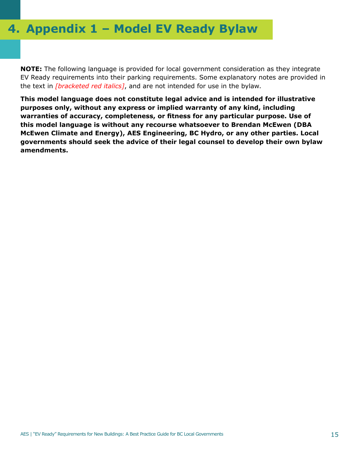# <span id="page-14-0"></span>**4. Appendix 1 – Model EV Ready Bylaw**

**NOTE:** The following language is provided for local government consideration as they integrate EV Ready requirements into their parking requirements. Some explanatory notes are provided in the text in *[bracketed red italics]*, and are not intended for use in the bylaw.

**This model language does not constitute legal advice and is intended for illustrative purposes only, without any express or implied warranty of any kind, including warranties of accuracy, completeness, or fitness for any particular purpose. Use of this model language is without any recourse whatsoever to Brendan McEwen (DBA McEwen Climate and Energy), AES Engineering, BC Hydro, or any other parties. Local governments should seek the advice of their legal counsel to develop their own bylaw amendments.**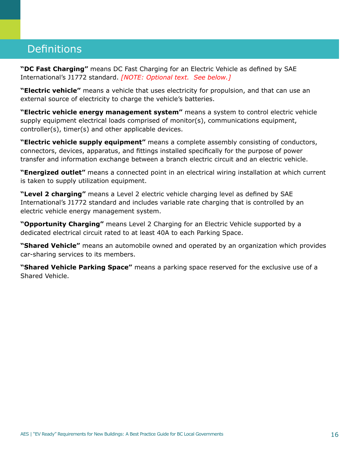# **Definitions**

**"DC Fast Charging"** means DC Fast Charging for an Electric Vehicle as defined by SAE International's J1772 standard. *[NOTE: Optional text. See below.]*

**"Electric vehicle"** means a vehicle that uses electricity for propulsion, and that can use an external source of electricity to charge the vehicle's batteries.

**"Electric vehicle energy management system"** means a system to control electric vehicle supply equipment electrical loads comprised of monitor(s), communications equipment, controller(s), timer(s) and other applicable devices.

**"Electric vehicle supply equipment"** means a complete assembly consisting of conductors, connectors, devices, apparatus, and fittings installed specifically for the purpose of power transfer and information exchange between a branch electric circuit and an electric vehicle.

**"Energized outlet"** means a connected point in an electrical wiring installation at which current is taken to supply utilization equipment.

**"Level 2 charging"** means a Level 2 electric vehicle charging level as defined by SAE International's J1772 standard and includes variable rate charging that is controlled by an electric vehicle energy management system.

**"Opportunity Charging"** means Level 2 Charging for an Electric Vehicle supported by a dedicated electrical circuit rated to at least 40A to each Parking Space.

**"Shared Vehicle"** means an automobile owned and operated by an organization which provides car-sharing services to its members.

**"Shared Vehicle Parking Space"** means a parking space reserved for the exclusive use of a Shared Vehicle.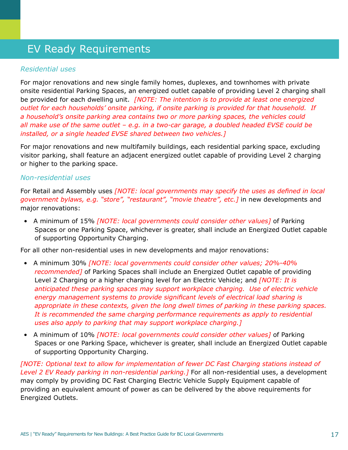# EV Ready Requirements

#### *Residential uses*

For major renovations and new single family homes, duplexes, and townhomes with private onsite residential Parking Spaces, an energized outlet capable of providing Level 2 charging shall be provided for each dwelling unit. *[NOTE: The intention is to provide at least one energized outlet for each households' onsite parking, if onsite parking is provided for that household. If a household's onsite parking area contains two or more parking spaces, the vehicles could all make use of the same outlet – e.g. in a two-car garage, a doubled headed EVSE could be installed, or a single headed EVSE shared between two vehicles.]* 

For major renovations and new multifamily buildings, each residential parking space, excluding visitor parking, shall feature an adjacent energized outlet capable of providing Level 2 charging or higher to the parking space.

#### *Non-residential uses*

For Retail and Assembly uses *[NOTE: local governments may specify the uses as defined in local government bylaws, e.g. "store", "restaurant", "movie theatre", etc.]* in new developments and major renovations:

• A minimum of 15% *[NOTE: local governments could consider other values]* of Parking Spaces or one Parking Space, whichever is greater, shall include an Energized Outlet capable of supporting Opportunity Charging.

For all other non-residential uses in new developments and major renovations:

- A minimum 30% *[NOTE: local governments could consider other values; 20%-40% recommended]* of Parking Spaces shall include an Energized Outlet capable of providing Level 2 Charging or a higher charging level for an Electric Vehicle; and *[NOTE: It is anticipated these parking spaces may support workplace charging. Use of electric vehicle energy management systems to provide significant levels of electrical load sharing is appropriate in these contexts, given the long dwell times of parking in these parking spaces. It is recommended the same charging performance requirements as apply to residential uses also apply to parking that may support workplace charging.]*
- A minimum of 10% *[NOTE: local governments could consider other values]* of Parking Spaces or one Parking Space, whichever is greater, shall include an Energized Outlet capable of supporting Opportunity Charging.

*[NOTE: Optional text to allow for implementation of fewer DC Fast Charging stations instead of Level 2 EV Ready parking in non-residential parking.]* For all non-residential uses, a development may comply by providing DC Fast Charging Electric Vehicle Supply Equipment capable of providing an equivalent amount of power as can be delivered by the above requirements for Energized Outlets.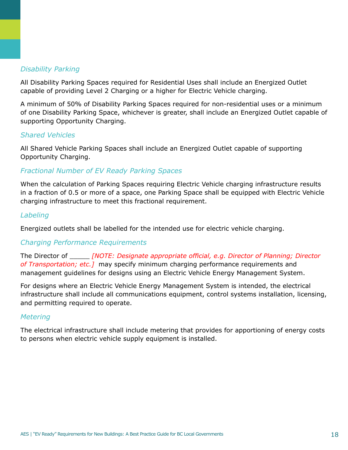#### *Disability Parking*

All Disability Parking Spaces required for Residential Uses shall include an Energized Outlet capable of providing Level 2 Charging or a higher for Electric Vehicle charging.

A minimum of 50% of Disability Parking Spaces required for non-residential uses or a minimum of one Disability Parking Space, whichever is greater, shall include an Energized Outlet capable of supporting Opportunity Charging.

#### *Shared Vehicles*

All Shared Vehicle Parking Spaces shall include an Energized Outlet capable of supporting Opportunity Charging.

### *Fractional Number of EV Ready Parking Spaces*

When the calculation of Parking Spaces requiring Electric Vehicle charging infrastructure results in a fraction of 0.5 or more of a space, one Parking Space shall be equipped with Electric Vehicle charging infrastructure to meet this fractional requirement.

#### *Labeling*

Energized outlets shall be labelled for the intended use for electric vehicle charging.

#### *Charging Performance Requirements*

The Director of \_\_\_\_\_ *[NOTE: Designate appropriate official, e.g. Director of Planning; Director of Transportation; etc.]* may specify minimum charging performance requirements and management guidelines for designs using an Electric Vehicle Energy Management System.

For designs where an Electric Vehicle Energy Management System is intended, the electrical infrastructure shall include all communications equipment, control systems installation, licensing, and permitting required to operate.

#### *Metering*

The electrical infrastructure shall include metering that provides for apportioning of energy costs to persons when electric vehicle supply equipment is installed.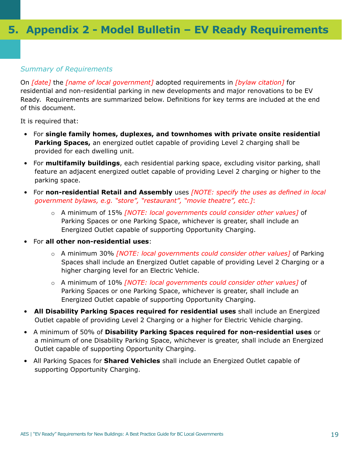#### <span id="page-18-0"></span>*Summary of Requirements*

On *[date]* the *[name of local government]* adopted requirements in *[bylaw citation]* for residential and non-residential parking in new developments and major renovations to be EV Ready. Requirements are summarized below. Definitions for key terms are included at the end of this document.

It is required that:

- For **single family homes, duplexes, and townhomes with private onsite residential Parking Spaces,** an energized outlet capable of providing Level 2 charging shall be provided for each dwelling unit.
- For **multifamily buildings**, each residential parking space, excluding visitor parking, shall feature an adjacent energized outlet capable of providing Level 2 charging or higher to the parking space.
- For **non-residential Retail and Assembly** uses *[NOTE: specify the uses as defined in local government bylaws, e.g. "store", "restaurant", "movie theatre", etc.]*:
	- o A minimum of 15% *[NOTE: local governments could consider other values]* of Parking Spaces or one Parking Space, whichever is greater, shall include an Energized Outlet capable of supporting Opportunity Charging.
- For **all other non-residential uses**:
	- o A minimum 30% *[NOTE: local governments could consider other values]* of Parking Spaces shall include an Energized Outlet capable of providing Level 2 Charging or a higher charging level for an Electric Vehicle.
	- o A minimum of 10% *[NOTE: local governments could consider other values]* of Parking Spaces or one Parking Space, whichever is greater, shall include an Energized Outlet capable of supporting Opportunity Charging.
- **All Disability Parking Spaces required for residential uses** shall include an Energized Outlet capable of providing Level 2 Charging or a higher for Electric Vehicle charging.
- A minimum of 50% of **Disability Parking Spaces required for non-residential uses** or a minimum of one Disability Parking Space, whichever is greater, shall include an Energized Outlet capable of supporting Opportunity Charging.
- All Parking Spaces for **Shared Vehicles** shall include an Energized Outlet capable of supporting Opportunity Charging.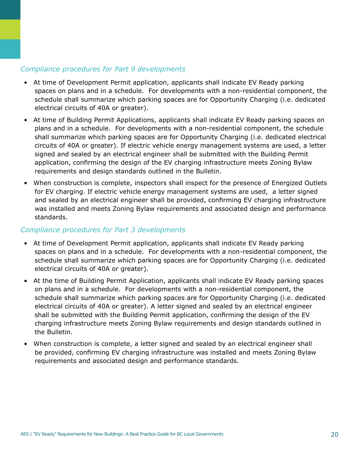### *Compliance procedures for Part 9 developments*

- At time of Development Permit application, applicants shall indicate EV Ready parking spaces on plans and in a schedule. For developments with a non-residential component, the schedule shall summarize which parking spaces are for Opportunity Charging (i.e. dedicated electrical circuits of 40A or greater).
- At time of Building Permit Applications, applicants shall indicate EV Ready parking spaces on plans and in a schedule. For developments with a non-residential component, the schedule shall summarize which parking spaces are for Opportunity Charging (i.e. dedicated electrical circuits of 40A or greater). If electric vehicle energy management systems are used, a letter signed and sealed by an electrical engineer shall be submitted with the Building Permit application, confirming the design of the EV charging infrastructure meets Zoning Bylaw requirements and design standards outlined in the Bulletin.
- When construction is complete, inspectors shall inspect for the presence of Energized Outlets for EV charging. If electric vehicle energy management systems are used, a letter signed and sealed by an electrical engineer shall be provided, confirming EV charging infrastructure was installed and meets Zoning Bylaw requirements and associated design and performance standards.

### *Compliance procedures for Part 3 developments*

- At time of Development Permit application, applicants shall indicate EV Ready parking spaces on plans and in a schedule. For developments with a non-residential component, the schedule shall summarize which parking spaces are for Opportunity Charging (i.e. dedicated electrical circuits of 40A or greater).
- At the time of Building Permit Application, applicants shall indicate EV Ready parking spaces on plans and in a schedule. For developments with a non-residential component, the schedule shall summarize which parking spaces are for Opportunity Charging (i.e. dedicated electrical circuits of 40A or greater). A letter signed and sealed by an electrical engineer shall be submitted with the Building Permit application, confirming the design of the EV charging infrastructure meets Zoning Bylaw requirements and design standards outlined in the Bulletin.
- When construction is complete, a letter signed and sealed by an electrical engineer shall be provided, confirming EV charging infrastructure was installed and meets Zoning Bylaw requirements and associated design and performance standards.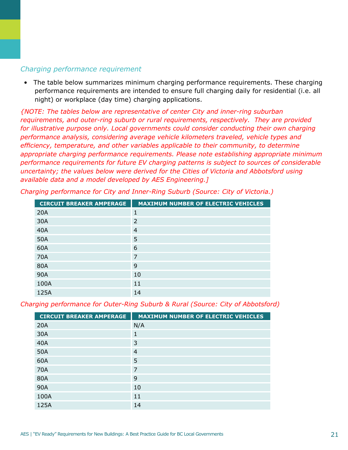#### *Charging performance requirement*

• The table below summarizes minimum charging performance requirements. These charging performance requirements are intended to ensure full charging daily for residential (i.e. all night) or workplace (day time) charging applications.

*{NOTE: The tables below are representative of center City and inner-ring suburban requirements, and outer-ring suburb or rural requirements, respectively. They are provided for illustrative purpose only. Local governments could consider conducting their own charging performance analysis, considering average vehicle kilometers traveled, vehicle types and efficiency, temperature, and other variables applicable to their community, to determine appropriate charging performance requirements. Please note establishing appropriate minimum performance requirements for future EV charging patterns is subject to sources of considerable uncertainty; the values below were derived for the Cities of Victoria and Abbotsford using available data and a model developed by AES Engineering.]*

| <b>CIRCUIT BREAKER AMPERAGE</b> | <b>MAXIMUM NUMBER OF ELECTRIC VEHICLES</b> |
|---------------------------------|--------------------------------------------|
| 20A                             | 1                                          |
| 30A                             | 2                                          |
| 40A                             | 4                                          |
| 50A                             | 5                                          |
| 60A                             | 6                                          |
| 70A                             | 7                                          |
| 80A                             | 9                                          |
| 90A                             | 10                                         |
| 100A                            | 11                                         |
| 125A                            | 14                                         |

*Charging performance for City and Inner-Ring Suburb (Source: City of Victoria.)*

#### *Charging performance for Outer-Ring Suburb & Rural (Source: City of Abbotsford)*

| <b>CIRCUIT BREAKER AMPERAGE</b> | <b>MAXIMUM NUMBER OF ELECTRIC VEHICLES</b> |
|---------------------------------|--------------------------------------------|
| 20A                             | N/A                                        |
| 30A                             | 1                                          |
| 40A                             | 3                                          |
| 50A                             | $\overline{4}$                             |
| 60A                             | 5                                          |
| 70A                             | 7                                          |
| 80A                             | 9                                          |
| 90A                             | 10                                         |
| 100A                            | 11                                         |
| 125A                            | 14                                         |